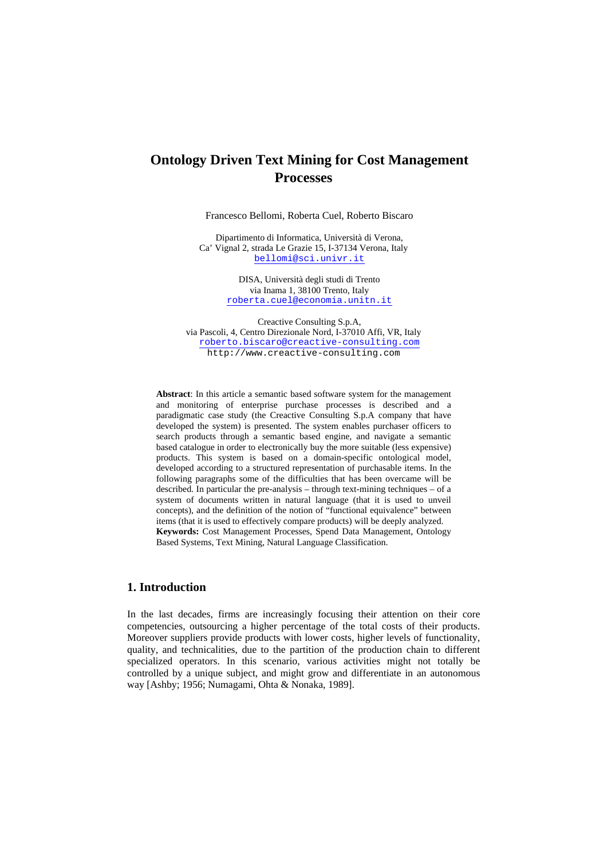Francesco Bellomi, Roberta Cuel, Roberto Biscaro

Dipartimento di Informatica, Università di Verona, Ca' Vignal 2, strada Le Grazie 15, I-37134 Verona, Italy bellomi@sci.univr.it

> DISA, Università degli studi di Trento via Inama 1, 38100 Trento, Italy roberta.cuel@economia.unitn.it

Creactive Consulting S.p.A, via Pascoli, 4, Centro Direzionale Nord, I-37010 Affi, VR, Italy roberto.biscaro@creactive-consulting.com http://www.creactive-consulting.com

**Abstract**: In this article a semantic based software system for the management and monitoring of enterprise purchase processes is described and a paradigmatic case study (the Creactive Consulting S.p.A company that have developed the system) is presented. The system enables purchaser officers to search products through a semantic based engine, and navigate a semantic based catalogue in order to electronically buy the more suitable (less expensive) products. This system is based on a domain-specific ontological model, developed according to a structured representation of purchasable items. In the following paragraphs some of the difficulties that has been overcame will be described. In particular the pre-analysis – through text-mining techniques – of a system of documents written in natural language (that it is used to unveil concepts), and the definition of the notion of "functional equivalence" between items (that it is used to effectively compare products) will be deeply analyzed. **Keywords:** Cost Management Processes, Spend Data Management, Ontology Based Systems, Text Mining, Natural Language Classification.

# **1. Introduction**

In the last decades, firms are increasingly focusing their attention on their core competencies, outsourcing a higher percentage of the total costs of their products. Moreover suppliers provide products with lower costs, higher levels of functionality, quality, and technicalities, due to the partition of the production chain to different specialized operators. In this scenario, various activities might not totally be controlled by a unique subject, and might grow and differentiate in an autonomous way [Ashby; 1956; Numagami, Ohta & Nonaka, 1989].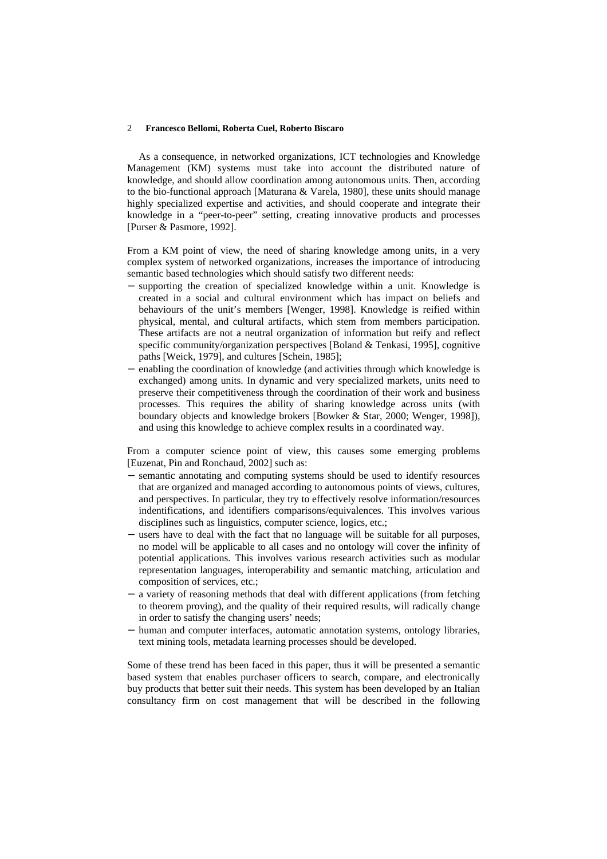As a consequence, in networked organizations, ICT technologies and Knowledge Management (KM) systems must take into account the distributed nature of knowledge, and should allow coordination among autonomous units. Then, according to the bio-functional approach [Maturana & Varela, 1980], these units should manage highly specialized expertise and activities, and should cooperate and integrate their knowledge in a "peer-to-peer" setting, creating innovative products and processes [Purser & Pasmore, 1992].

From a KM point of view, the need of sharing knowledge among units, in a very complex system of networked organizations, increases the importance of introducing semantic based technologies which should satisfy two different needs:

- − supporting the creation of specialized knowledge within a unit. Knowledge is created in a social and cultural environment which has impact on beliefs and behaviours of the unit's members [Wenger, 1998]. Knowledge is reified within physical, mental, and cultural artifacts, which stem from members participation. These artifacts are not a neutral organization of information but reify and reflect specific community/organization perspectives [Boland & Tenkasi, 1995], cognitive paths [Weick, 1979], and cultures [Schein, 1985];
- enabling the coordination of knowledge (and activities through which knowledge is exchanged) among units. In dynamic and very specialized markets, units need to preserve their competitiveness through the coordination of their work and business processes. This requires the ability of sharing knowledge across units (with boundary objects and knowledge brokers [Bowker & Star, 2000; Wenger, 1998]), and using this knowledge to achieve complex results in a coordinated way.

From a computer science point of view, this causes some emerging problems [Euzenat, Pin and Ronchaud, 2002] such as:

- − semantic annotating and computing systems should be used to identify resources that are organized and managed according to autonomous points of views, cultures, and perspectives. In particular, they try to effectively resolve information/resources indentifications, and identifiers comparisons/equivalences. This involves various disciplines such as linguistics, computer science, logics, etc.;
- − users have to deal with the fact that no language will be suitable for all purposes, no model will be applicable to all cases and no ontology will cover the infinity of potential applications. This involves various research activities such as modular representation languages, interoperability and semantic matching, articulation and composition of services, etc.;
- a variety of reasoning methods that deal with different applications (from fetching to theorem proving), and the quality of their required results, will radically change in order to satisfy the changing users' needs;
- − human and computer interfaces, automatic annotation systems, ontology libraries, text mining tools, metadata learning processes should be developed.

Some of these trend has been faced in this paper, thus it will be presented a semantic based system that enables purchaser officers to search, compare, and electronically buy products that better suit their needs. This system has been developed by an Italian consultancy firm on cost management that will be described in the following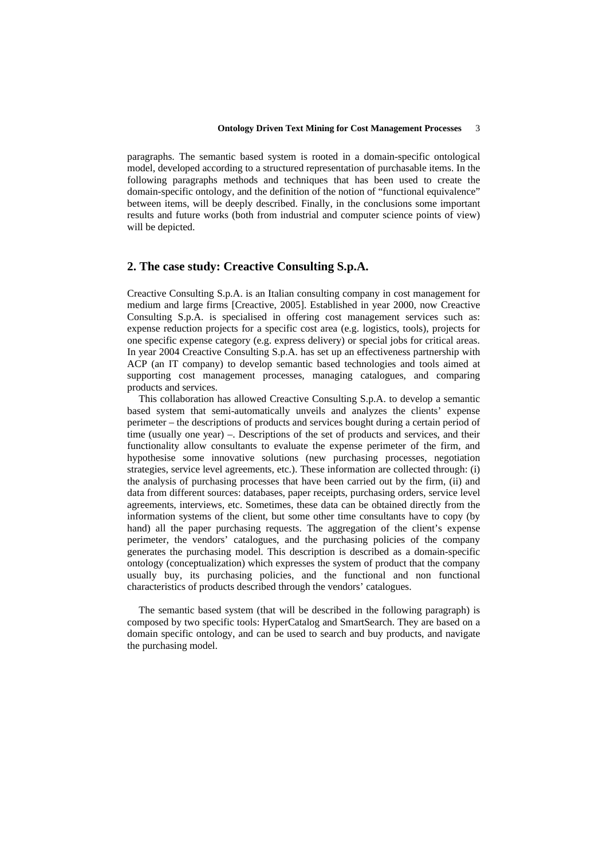paragraphs. The semantic based system is rooted in a domain-specific ontological model, developed according to a structured representation of purchasable items. In the following paragraphs methods and techniques that has been used to create the domain-specific ontology, and the definition of the notion of "functional equivalence" between items, will be deeply described. Finally, in the conclusions some important results and future works (both from industrial and computer science points of view) will be depicted.

# **2. The case study: Creactive Consulting S.p.A.**

Creactive Consulting S.p.A. is an Italian consulting company in cost management for medium and large firms [Creactive, 2005]. Established in year 2000, now Creactive Consulting S.p.A. is specialised in offering cost management services such as: expense reduction projects for a specific cost area (e.g. logistics, tools), projects for one specific expense category (e.g. express delivery) or special jobs for critical areas. In year 2004 Creactive Consulting S.p.A. has set up an effectiveness partnership with ACP (an IT company) to develop semantic based technologies and tools aimed at supporting cost management processes, managing catalogues, and comparing products and services.

This collaboration has allowed Creactive Consulting S.p.A. to develop a semantic based system that semi-automatically unveils and analyzes the clients' expense perimeter – the descriptions of products and services bought during a certain period of time (usually one year) –. Descriptions of the set of products and services, and their functionality allow consultants to evaluate the expense perimeter of the firm, and hypothesise some innovative solutions (new purchasing processes, negotiation strategies, service level agreements, etc.). These information are collected through: (i) the analysis of purchasing processes that have been carried out by the firm, (ii) and data from different sources: databases, paper receipts, purchasing orders, service level agreements, interviews, etc. Sometimes, these data can be obtained directly from the information systems of the client, but some other time consultants have to copy (by hand) all the paper purchasing requests. The aggregation of the client's expense perimeter, the vendors' catalogues, and the purchasing policies of the company generates the purchasing model. This description is described as a domain-specific ontology (conceptualization) which expresses the system of product that the company usually buy, its purchasing policies, and the functional and non functional characteristics of products described through the vendors' catalogues.

The semantic based system (that will be described in the following paragraph) is composed by two specific tools: HyperCatalog and SmartSearch. They are based on a domain specific ontology, and can be used to search and buy products, and navigate the purchasing model.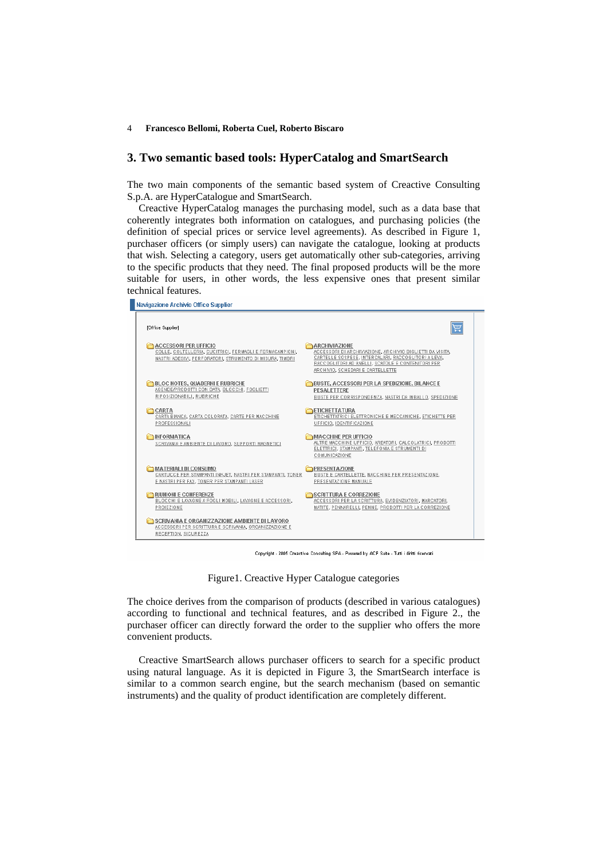### **3. Two semantic based tools: HyperCatalog and SmartSearch**

The two main components of the semantic based system of Creactive Consulting S.p.A. are HyperCatalogue and SmartSearch.

Creactive HyperCatalog manages the purchasing model, such as a data base that coherently integrates both information on catalogues, and purchasing policies (the definition of special prices or service level agreements). As described in Figure 1, purchaser officers (or simply users) can navigate the catalogue, looking at products that wish. Selecting a category, users get automatically other sub-categories, arriving to the specific products that they need. The final proposed products will be the more suitable for users, in other words, the less expensive ones that present similar technical features.



Copyright - 2005 Creactive Consulting SPA - Powered by ACP Suite - Tutti i diritti riservati

Figure1. Creactive Hyper Catalogue categories

The choice derives from the comparison of products (described in various catalogues) according to functional and technical features, and as described in Figure 2., the purchaser officer can directly forward the order to the supplier who offers the more convenient products.

Creactive SmartSearch allows purchaser officers to search for a specific product using natural language. As it is depicted in Figure 3, the SmartSearch interface is similar to a common search engine, but the search mechanism (based on semantic instruments) and the quality of product identification are completely different.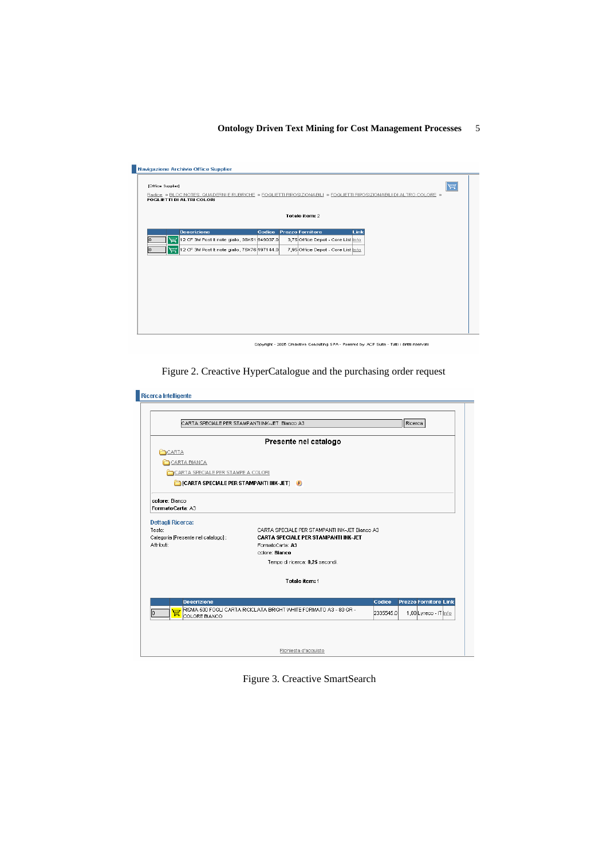| [Office Supplier] | <b>FOGLIETTI DI ALTRI COLORI</b>                  |  |  |                                    |  | 買<br>Radice > BLOC NOTES, QUADERNI E RUBRICHE > FOGLIETTI RIPOSIZIONABILI > FOGLIETTI RIPOSIZIONABILI DI ALTRO COLORE > |  |  |
|-------------------|---------------------------------------------------|--|--|------------------------------------|--|-------------------------------------------------------------------------------------------------------------------------|--|--|
| Totale item: 2    |                                                   |  |  |                                    |  |                                                                                                                         |  |  |
|                   | <b>Descrizione</b>                                |  |  | Codice Prezzo Fornitore            |  | Link                                                                                                                    |  |  |
| n                 | 12 CF 3M Post It note giallo, 38X51 949037.0<br>扈 |  |  | 3,75 Office Depot - Core List Info |  |                                                                                                                         |  |  |
|                   | 12 CF 3M Post it note giallo, 76X76 197144.0      |  |  | 7,95 Office Depot - Core List nfo  |  |                                                                                                                         |  |  |
|                   |                                                   |  |  |                                    |  |                                                                                                                         |  |  |
|                   |                                                   |  |  |                                    |  |                                                                                                                         |  |  |
|                   |                                                   |  |  |                                    |  |                                                                                                                         |  |  |
|                   |                                                   |  |  |                                    |  |                                                                                                                         |  |  |
|                   |                                                   |  |  |                                    |  |                                                                                                                         |  |  |
|                   |                                                   |  |  |                                    |  |                                                                                                                         |  |  |

Copyright - 2005 Creactive Consulting SPA - Powered by ACP Suite - Tutti i diritti riservati



|                                                             | CARTA SPECIALE PER STAMPANTI INK-JET Bianco A3                                                |           | Ricerca               |
|-------------------------------------------------------------|-----------------------------------------------------------------------------------------------|-----------|-----------------------|
|                                                             |                                                                                               |           |                       |
|                                                             | Presente nel catalogo                                                                         |           |                       |
| CARTA                                                       |                                                                                               |           |                       |
| CARTA BIANCA                                                |                                                                                               |           |                       |
| CARTA SPECIALE PER STAMPE A COLORI                          |                                                                                               |           |                       |
| CARTA SPECIALE PER STAMPANTI INK-JET]                       |                                                                                               |           |                       |
|                                                             |                                                                                               |           |                       |
| colore: Bianco<br>FormatoCarta: A3                          |                                                                                               |           |                       |
|                                                             |                                                                                               |           |                       |
| <b>Dettagli Ricerca:</b>                                    |                                                                                               |           |                       |
|                                                             |                                                                                               |           |                       |
|                                                             | CARTA SPECIALE PER STAMPANTI INK-JET Bianco A3<br><b>CARTA SPECIALE PER STAMPANTI INK-JET</b> |           |                       |
|                                                             | FormatoCarta: A3                                                                              |           |                       |
|                                                             | colore: Bianco                                                                                |           |                       |
|                                                             | Tempo di ricerca: 0,25 secondi.                                                               |           |                       |
| Testo:<br>Categoria [Presente nel catalogo] :<br>Attributi: | Totale item: 1                                                                                |           |                       |
|                                                             |                                                                                               |           |                       |
| <b>Descrizione</b>                                          |                                                                                               | Codice    | Prezzo Fornitore Link |
|                                                             | RISMA 500 FOGLI CARTA RICICLATA BRIGHT VVHITE FORMATO A3 - 80 GR -                            | 2335545.0 | 1,00 Lyreco - IT Info |
| 冒<br>COLORE BIANCO                                          |                                                                                               |           |                       |
|                                                             |                                                                                               |           |                       |

Figure 3. Creactive SmartSearch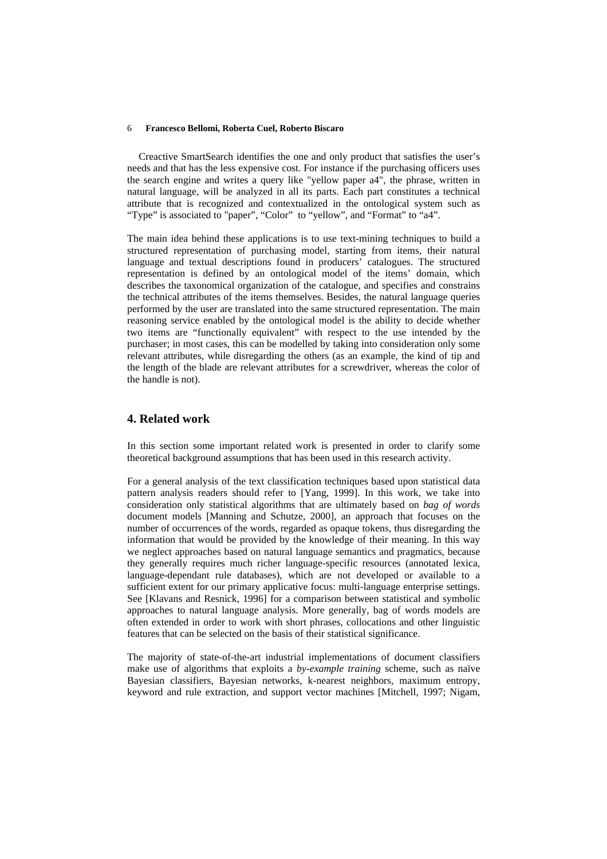Creactive SmartSearch identifies the one and only product that satisfies the user's needs and that has the less expensive cost. For instance if the purchasing officers uses the search engine and writes a query like "yellow paper a4", the phrase, written in natural language, will be analyzed in all its parts. Each part constitutes a technical attribute that is recognized and contextualized in the ontological system such as "Type" is associated to "paper", "Color" to "yellow", and "Format" to "a4".

The main idea behind these applications is to use text-mining techniques to build a structured representation of purchasing model, starting from items, their natural language and textual descriptions found in producers' catalogues. The structured representation is defined by an ontological model of the items' domain, which describes the taxonomical organization of the catalogue, and specifies and constrains the technical attributes of the items themselves. Besides, the natural language queries performed by the user are translated into the same structured representation. The main reasoning service enabled by the ontological model is the ability to decide whether two items are "functionally equivalent" with respect to the use intended by the purchaser; in most cases, this can be modelled by taking into consideration only some relevant attributes, while disregarding the others (as an example, the kind of tip and the length of the blade are relevant attributes for a screwdriver, whereas the color of the handle is not).

# **4. Related work**

In this section some important related work is presented in order to clarify some theoretical background assumptions that has been used in this research activity.

For a general analysis of the text classification techniques based upon statistical data pattern analysis readers should refer to [Yang, 1999]. In this work, we take into consideration only statistical algorithms that are ultimately based on *bag of words* document models [Manning and Schutze, 2000], an approach that focuses on the number of occurrences of the words, regarded as opaque tokens, thus disregarding the information that would be provided by the knowledge of their meaning. In this way we neglect approaches based on natural language semantics and pragmatics, because they generally requires much richer language-specific resources (annotated lexica, language-dependant rule databases), which are not developed or available to a sufficient extent for our primary applicative focus: multi-language enterprise settings. See [Klavans and Resnick, 1996] for a comparison between statistical and symbolic approaches to natural language analysis. More generally, bag of words models are often extended in order to work with short phrases, collocations and other linguistic features that can be selected on the basis of their statistical significance.

The majority of state-of-the-art industrial implementations of document classifiers make use of algorithms that exploits a *by-example training* scheme, such as naïve Bayesian classifiers, Bayesian networks, k-nearest neighbors, maximum entropy, keyword and rule extraction, and support vector machines [Mitchell, 1997; Nigam,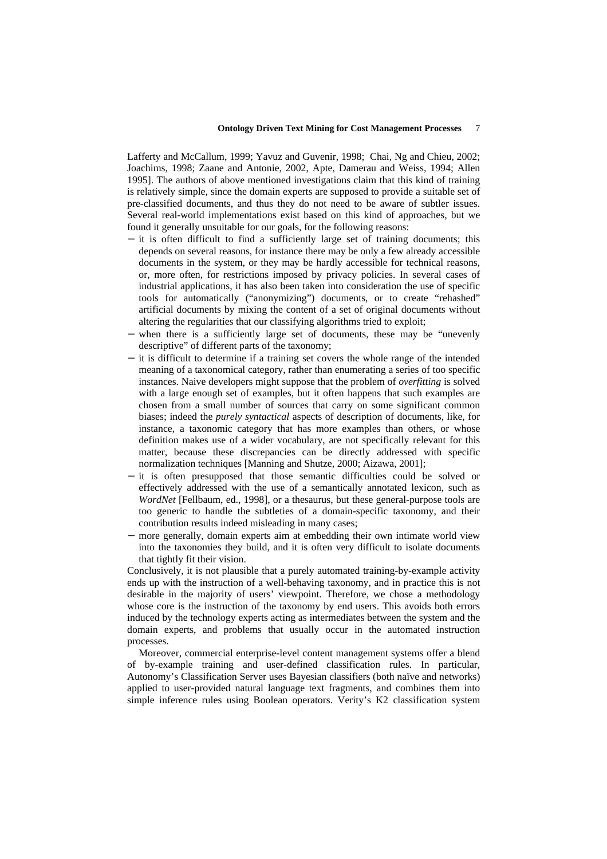Lafferty and McCallum, 1999; Yavuz and Guvenir, 1998; Chai, Ng and Chieu, 2002; Joachims, 1998; Zaane and Antonie, 2002, Apte, Damerau and Weiss, 1994; Allen 1995]. The authors of above mentioned investigations claim that this kind of training is relatively simple, since the domain experts are supposed to provide a suitable set of pre-classified documents, and thus they do not need to be aware of subtler issues. Several real-world implementations exist based on this kind of approaches, but we found it generally unsuitable for our goals, for the following reasons:

- − it is often difficult to find a sufficiently large set of training documents; this depends on several reasons, for instance there may be only a few already accessible documents in the system, or they may be hardly accessible for technical reasons, or, more often, for restrictions imposed by privacy policies. In several cases of industrial applications, it has also been taken into consideration the use of specific tools for automatically ("anonymizing") documents, or to create "rehashed" artificial documents by mixing the content of a set of original documents without altering the regularities that our classifying algorithms tried to exploit;
- when there is a sufficiently large set of documents, these may be "unevenly" descriptive" of different parts of the taxonomy;
- − it is difficult to determine if a training set covers the whole range of the intended meaning of a taxonomical category, rather than enumerating a series of too specific instances. Naive developers might suppose that the problem of *overfitting* is solved with a large enough set of examples, but it often happens that such examples are chosen from a small number of sources that carry on some significant common biases; indeed the *purely syntactical* aspects of description of documents, like, for instance, a taxonomic category that has more examples than others, or whose definition makes use of a wider vocabulary, are not specifically relevant for this matter, because these discrepancies can be directly addressed with specific normalization techniques [Manning and Shutze, 2000; Aizawa, 2001];
- − it is often presupposed that those semantic difficulties could be solved or effectively addressed with the use of a semantically annotated lexicon, such as *WordNet* [Fellbaum, ed., 1998], or a thesaurus, but these general-purpose tools are too generic to handle the subtleties of a domain-specific taxonomy, and their contribution results indeed misleading in many cases;
- more generally, domain experts aim at embedding their own intimate world view into the taxonomies they build, and it is often very difficult to isolate documents that tightly fit their vision.

Conclusively, it is not plausible that a purely automated training-by-example activity ends up with the instruction of a well-behaving taxonomy, and in practice this is not desirable in the majority of users' viewpoint. Therefore, we chose a methodology whose core is the instruction of the taxonomy by end users. This avoids both errors induced by the technology experts acting as intermediates between the system and the domain experts, and problems that usually occur in the automated instruction processes.

Moreover, commercial enterprise-level content management systems offer a blend of by-example training and user-defined classification rules. In particular, Autonomy's Classification Server uses Bayesian classifiers (both naïve and networks) applied to user-provided natural language text fragments, and combines them into simple inference rules using Boolean operators. Verity's K2 classification system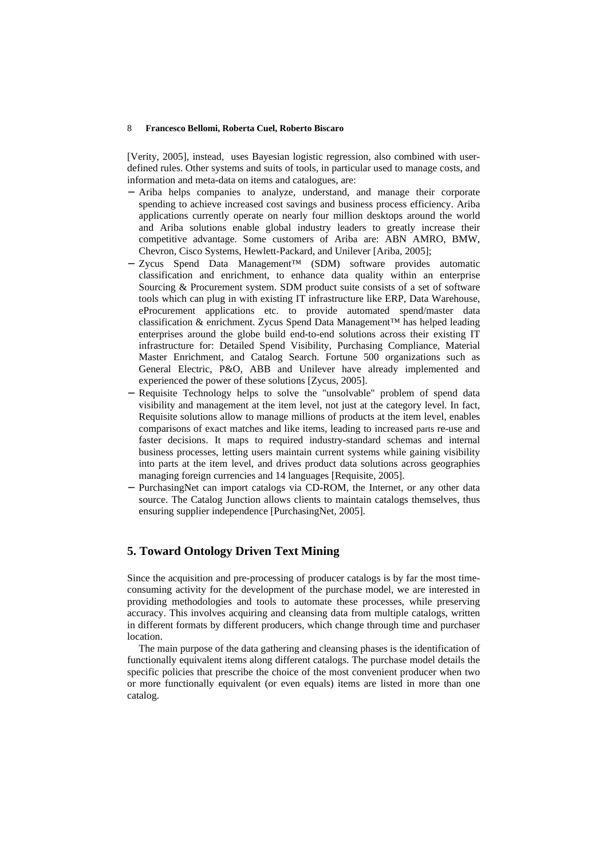[Verity, 2005], instead, uses Bayesian logistic regression, also combined with userdefined rules. Other systems and suits of tools, in particular used to manage costs, and information and meta-data on items and catalogues, are:

- − Ariba helps companies to analyze, understand, and manage their corporate spending to achieve increased cost savings and business process efficiency. Ariba applications currently operate on nearly four million desktops around the world and Ariba solutions enable global industry leaders to greatly increase their competitive advantage. Some customers of Ariba are: ABN AMRO, BMW, Chevron, Cisco Systems, Hewlett-Packard, and Unilever [Ariba, 2005];
- − Zycus Spend Data Management™ (SDM) software provides automatic classification and enrichment, to enhance data quality within an enterprise Sourcing & Procurement system. SDM product suite consists of a set of software tools which can plug in with existing IT infrastructure like ERP, Data Warehouse, eProcurement applications etc. to provide automated spend/master data classification & enrichment. Zycus Spend Data Management™ has helped leading enterprises around the globe build end-to-end solutions across their existing IT infrastructure for: Detailed Spend Visibility, Purchasing Compliance, Material Master Enrichment, and Catalog Search. Fortune 500 organizations such as General Electric, P&O, ABB and Unilever have already implemented and experienced the power of these solutions [Zycus, 2005].
- − Requisite Technology helps to solve the "unsolvable" problem of spend data visibility and management at the item level, not just at the category level. In fact, Requisite solutions allow to manage millions of products at the item level, enables comparisons of exact matches and like items, leading to increased parts re-use and faster decisions. It maps to required industry-standard schemas and internal business processes, letting users maintain current systems while gaining visibility into parts at the item level, and drives product data solutions across geographies managing foreign currencies and 14 languages [Requisite, 2005].
- − PurchasingNet can import catalogs via CD-ROM, the Internet, or any other data source. The Catalog Junction allows clients to maintain catalogs themselves, thus ensuring supplier independence [PurchasingNet, 2005].

# **5. Toward Ontology Driven Text Mining**

Since the acquisition and pre-processing of producer catalogs is by far the most timeconsuming activity for the development of the purchase model, we are interested in providing methodologies and tools to automate these processes, while preserving accuracy. This involves acquiring and cleansing data from multiple catalogs, written in different formats by different producers, which change through time and purchaser location.

The main purpose of the data gathering and cleansing phases is the identification of functionally equivalent items along different catalogs. The purchase model details the specific policies that prescribe the choice of the most convenient producer when two or more functionally equivalent (or even equals) items are listed in more than one catalog.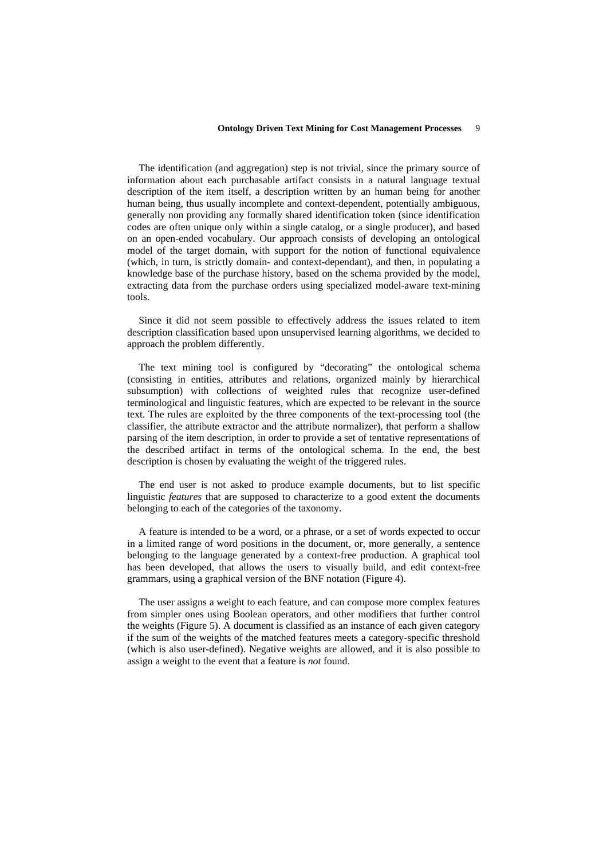The identification (and aggregation) step is not trivial, since the primary source of information about each purchasable artifact consists in a natural language textual description of the item itself, a description written by an human being for another human being, thus usually incomplete and context-dependent, potentially ambiguous, generally non providing any formally shared identification token (since identification codes are often unique only within a single catalog, or a single producer), and based on an open-ended vocabulary. Our approach consists of developing an ontological model of the target domain, with support for the notion of functional equivalence (which, in turn, is strictly domain- and context-dependant), and then, in populating a knowledge base of the purchase history, based on the schema provided by the model, extracting data from the purchase orders using specialized model-aware text-mining tools.

Since it did not seem possible to effectively address the issues related to item description classification based upon unsupervised learning algorithms, we decided to approach the problem differently.

The text mining tool is configured by "decorating" the ontological schema (consisting in entities, attributes and relations, organized mainly by hierarchical subsumption) with collections of weighted rules that recognize user-defined terminological and linguistic features, which are expected to be relevant in the source text. The rules are exploited by the three components of the text-processing tool (the classifier, the attribute extractor and the attribute normalizer), that perform a shallow parsing of the item description, in order to provide a set of tentative representations of the described artifact in terms of the ontological schema. In the end, the best description is chosen by evaluating the weight of the triggered rules.

The end user is not asked to produce example documents, but to list specific linguistic *features* that are supposed to characterize to a good extent the documents belonging to each of the categories of the taxonomy.

A feature is intended to be a word, or a phrase, or a set of words expected to occur in a limited range of word positions in the document, or, more generally, a sentence belonging to the language generated by a context-free production. A graphical tool has been developed, that allows the users to visually build, and edit context-free grammars, using a graphical version of the BNF notation (Figure 4).

The user assigns a weight to each feature, and can compose more complex features from simpler ones using Boolean operators, and other modifiers that further control the weights (Figure 5). A document is classified as an instance of each given category if the sum of the weights of the matched features meets a category-specific threshold (which is also user-defined). Negative weights are allowed, and it is also possible to assign a weight to the event that a feature is *not* found.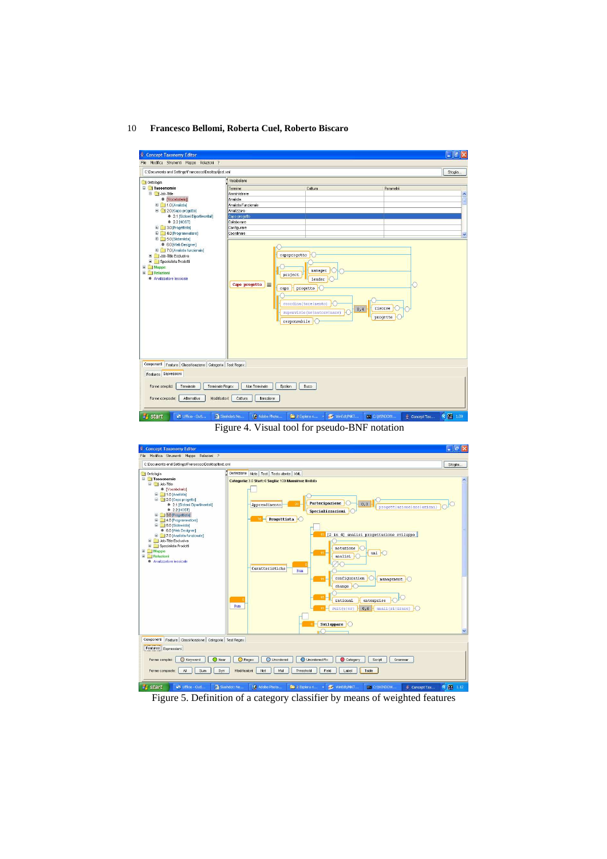

Figure 4. Visual tool for pseudo-BNF notation



Figure 5. Definition of a category classifier by means of weighted features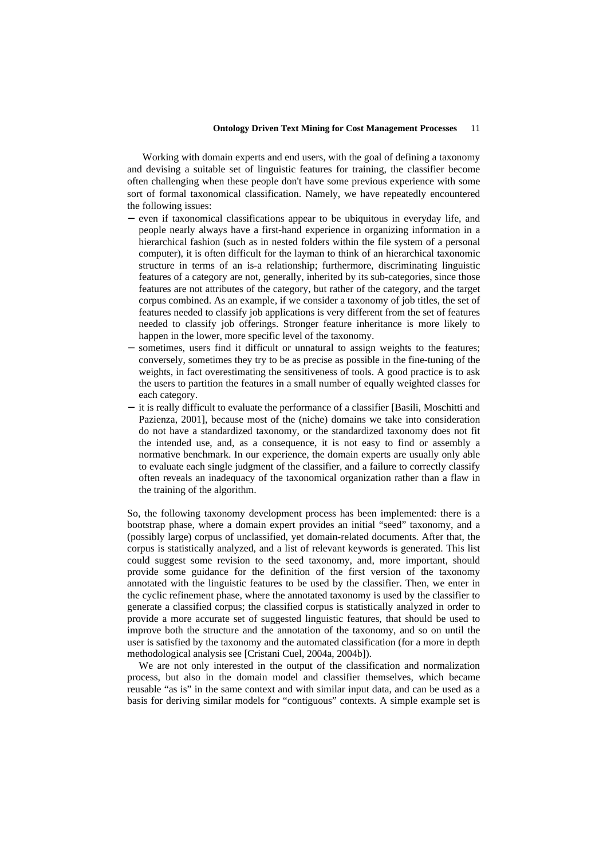Working with domain experts and end users, with the goal of defining a taxonomy and devising a suitable set of linguistic features for training, the classifier become often challenging when these people don't have some previous experience with some sort of formal taxonomical classification. Namely, we have repeatedly encountered the following issues:

- − even if taxonomical classifications appear to be ubiquitous in everyday life, and people nearly always have a first-hand experience in organizing information in a hierarchical fashion (such as in nested folders within the file system of a personal computer), it is often difficult for the layman to think of an hierarchical taxonomic structure in terms of an is-a relationship; furthermore, discriminating linguistic features of a category are not, generally, inherited by its sub-categories, since those features are not attributes of the category, but rather of the category, and the target corpus combined. As an example, if we consider a taxonomy of job titles, the set of features needed to classify job applications is very different from the set of features needed to classify job offerings. Stronger feature inheritance is more likely to happen in the lower, more specific level of the taxonomy.
- sometimes, users find it difficult or unnatural to assign weights to the features; conversely, sometimes they try to be as precise as possible in the fine-tuning of the weights, in fact overestimating the sensitiveness of tools. A good practice is to ask the users to partition the features in a small number of equally weighted classes for each category.
- − it is really difficult to evaluate the performance of a classifier [Basili, Moschitti and Pazienza, 2001], because most of the (niche) domains we take into consideration do not have a standardized taxonomy, or the standardized taxonomy does not fit the intended use, and, as a consequence, it is not easy to find or assembly a normative benchmark. In our experience, the domain experts are usually only able to evaluate each single judgment of the classifier, and a failure to correctly classify often reveals an inadequacy of the taxonomical organization rather than a flaw in the training of the algorithm.

So, the following taxonomy development process has been implemented: there is a bootstrap phase, where a domain expert provides an initial "seed" taxonomy, and a (possibly large) corpus of unclassified, yet domain-related documents. After that, the corpus is statistically analyzed, and a list of relevant keywords is generated. This list could suggest some revision to the seed taxonomy, and, more important, should provide some guidance for the definition of the first version of the taxonomy annotated with the linguistic features to be used by the classifier. Then, we enter in the cyclic refinement phase, where the annotated taxonomy is used by the classifier to generate a classified corpus; the classified corpus is statistically analyzed in order to provide a more accurate set of suggested linguistic features, that should be used to improve both the structure and the annotation of the taxonomy, and so on until the user is satisfied by the taxonomy and the automated classification (for a more in depth methodological analysis see [Cristani Cuel, 2004a, 2004b]).

We are not only interested in the output of the classification and normalization process, but also in the domain model and classifier themselves, which became reusable "as is" in the same context and with similar input data, and can be used as a basis for deriving similar models for "contiguous" contexts. A simple example set is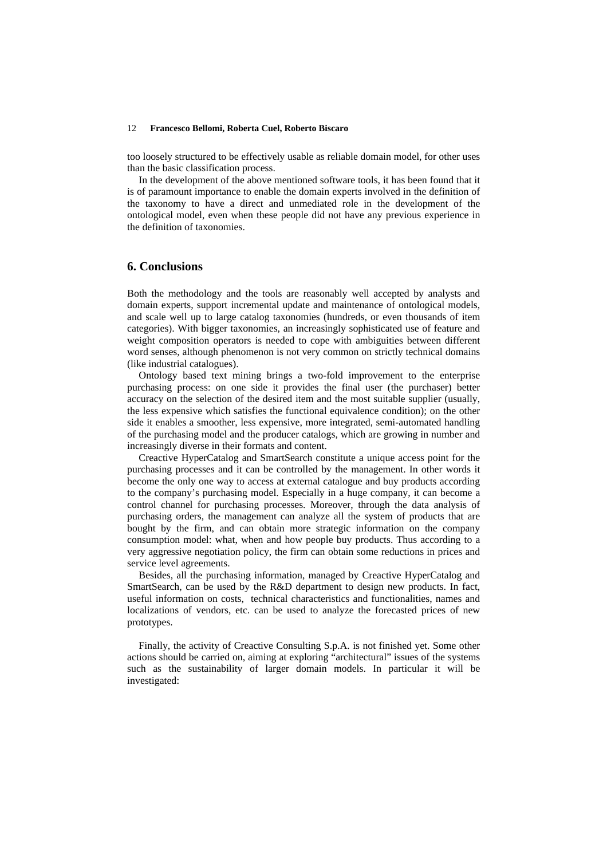too loosely structured to be effectively usable as reliable domain model, for other uses than the basic classification process.

In the development of the above mentioned software tools, it has been found that it is of paramount importance to enable the domain experts involved in the definition of the taxonomy to have a direct and unmediated role in the development of the ontological model, even when these people did not have any previous experience in the definition of taxonomies.

# **6. Conclusions**

Both the methodology and the tools are reasonably well accepted by analysts and domain experts, support incremental update and maintenance of ontological models, and scale well up to large catalog taxonomies (hundreds, or even thousands of item categories). With bigger taxonomies, an increasingly sophisticated use of feature and weight composition operators is needed to cope with ambiguities between different word senses, although phenomenon is not very common on strictly technical domains (like industrial catalogues).

Ontology based text mining brings a two-fold improvement to the enterprise purchasing process: on one side it provides the final user (the purchaser) better accuracy on the selection of the desired item and the most suitable supplier (usually, the less expensive which satisfies the functional equivalence condition); on the other side it enables a smoother, less expensive, more integrated, semi-automated handling of the purchasing model and the producer catalogs, which are growing in number and increasingly diverse in their formats and content.

Creactive HyperCatalog and SmartSearch constitute a unique access point for the purchasing processes and it can be controlled by the management. In other words it become the only one way to access at external catalogue and buy products according to the company's purchasing model. Especially in a huge company, it can become a control channel for purchasing processes. Moreover, through the data analysis of purchasing orders, the management can analyze all the system of products that are bought by the firm, and can obtain more strategic information on the company consumption model: what, when and how people buy products. Thus according to a very aggressive negotiation policy, the firm can obtain some reductions in prices and service level agreements.

Besides, all the purchasing information, managed by Creactive HyperCatalog and SmartSearch, can be used by the R&D department to design new products. In fact, useful information on costs, technical characteristics and functionalities, names and localizations of vendors, etc. can be used to analyze the forecasted prices of new prototypes.

Finally, the activity of Creactive Consulting S.p.A. is not finished yet. Some other actions should be carried on, aiming at exploring "architectural" issues of the systems such as the sustainability of larger domain models. In particular it will be investigated: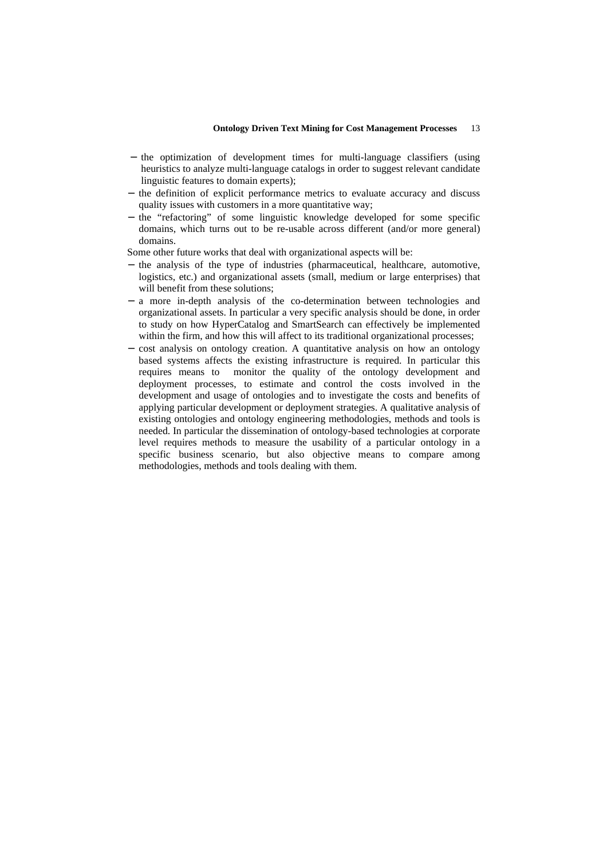- − the optimization of development times for multi-language classifiers (using heuristics to analyze multi-language catalogs in order to suggest relevant candidate linguistic features to domain experts);
- − the definition of explicit performance metrics to evaluate accuracy and discuss quality issues with customers in a more quantitative way;
- the "refactoring" of some linguistic knowledge developed for some specific domains, which turns out to be re-usable across different (and/or more general) domains.

Some other future works that deal with organizational aspects will be:

- − the analysis of the type of industries (pharmaceutical, healthcare, automotive, logistics, etc.) and organizational assets (small, medium or large enterprises) that will benefit from these solutions;
- a more in-depth analysis of the co-determination between technologies and organizational assets. In particular a very specific analysis should be done, in order to study on how HyperCatalog and SmartSearch can effectively be implemented within the firm, and how this will affect to its traditional organizational processes;
- − cost analysis on ontology creation. A quantitative analysis on how an ontology based systems affects the existing infrastructure is required. In particular this requires means to monitor the quality of the ontology development and deployment processes, to estimate and control the costs involved in the development and usage of ontologies and to investigate the costs and benefits of applying particular development or deployment strategies. A qualitative analysis of existing ontologies and ontology engineering methodologies, methods and tools is needed. In particular the dissemination of ontology-based technologies at corporate level requires methods to measure the usability of a particular ontology in a specific business scenario, but also objective means to compare among methodologies, methods and tools dealing with them.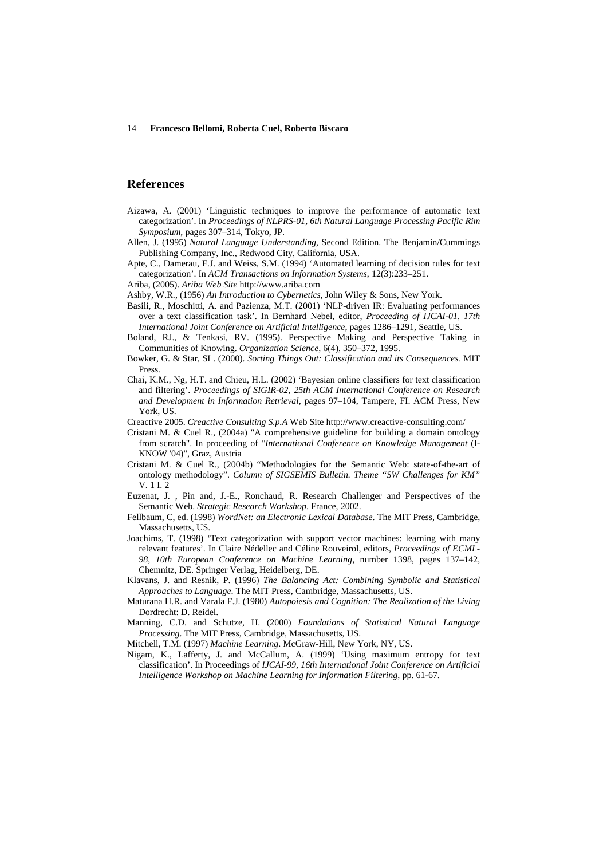### **References**

- Aizawa, A. (2001) 'Linguistic techniques to improve the performance of automatic text categorization'. In *Proceedings of NLPRS-01, 6th Natural Language Processing Pacific Rim Symposium*, pages 307–314, Tokyo, JP.
- Allen, J. (1995) *Natural Language Understanding*, Second Edition. The Benjamin/Cummings Publishing Company, Inc., Redwood City, California, USA.
- Apte, C., Damerau, F.J. and Weiss, S.M. (1994) 'Automated learning of decision rules for text categorization'. In *ACM Transactions on Information Systems*, 12(3):233–251.
- Ariba, (2005). *Ariba Web Site* http://www.ariba.com
- Ashby, W.R., (1956) *An Introduction to Cybernetics*, John Wiley & Sons, New York.
- Basili, R., Moschitti, A. and Pazienza, M.T. (2001) 'NLP-driven IR: Evaluating performances over a text classification task'. In Bernhard Nebel, editor, *Proceeding of IJCAI-01, 17th International Joint Conference on Artificial Intelligence*, pages 1286–1291, Seattle, US.
- Boland, RJ., & Tenkasi, RV. (1995). Perspective Making and Perspective Taking in Communities of Knowing. *Organization Science*, 6(4), 350–372, 1995.
- Bowker, G. & Star, SL. (2000). *Sorting Things Out: Classification and its Consequences.* MIT Press.
- Chai, K.M., Ng, H.T. and Chieu, H.L. (2002) 'Bayesian online classifiers for text classification and filtering'. *Proceedings of SIGIR-02, 25th ACM International Conference on Research and Development in Information Retrieval*, pages 97–104, Tampere, FI. ACM Press, New York, US.
- Creactive 2005. *Creactive Consulting S.p.A* Web Site http://www.creactive-consulting.com/
- Cristani M. & Cuel R., (2004a) "A comprehensive guideline for building a domain ontology from scratch". In proceeding of *"International Conference on Knowledge Management* (I-KNOW '04)", Graz, Austria
- Cristani M. & Cuel R., (2004b) "Methodologies for the Semantic Web: state-of-the-art of ontology methodology". *Column of SIGSEMIS Bulletin. Theme "SW Challenges for KM"*  V. 1 I. 2
- Euzenat, J. , Pin and, J.-E., Ronchaud, R. Research Challenger and Perspectives of the Semantic Web. *Strategic Research Workshop*. France, 2002.
- Fellbaum, C, ed. (1998) *WordNet: an Electronic Lexical Database*. The MIT Press, Cambridge, Massachusetts, US.
- Joachims, T. (1998) 'Text categorization with support vector machines: learning with many relevant features'. In Claire Nédellec and Céline Rouveirol, editors, *Proceedings of ECML-98, 10th European Conference on Machine Learning*, number 1398, pages 137–142, Chemnitz, DE. Springer Verlag, Heidelberg, DE.
- Klavans, J. and Resnik, P. (1996) *The Balancing Act: Combining Symbolic and Statistical Approaches to Language*. The MIT Press, Cambridge, Massachusetts, US.
- Maturana H.R. and Varala F.J. (1980) *Autopoiesis and Cognition: The Realization of the Living*  Dordrecht: D. Reidel.
- Manning, C.D. and Schutze, H. (2000) *Foundations of Statistical Natural Language Processing*. The MIT Press, Cambridge, Massachusetts, US.
- Mitchell, T.M. (1997) *Machine Learning*. McGraw-Hill, New York, NY, US.
- Nigam, K., Lafferty, J. and McCallum, A. (1999) 'Using maximum entropy for text classification'. In Proceedings of *IJCAI-99, 16th International Joint Conference on Artificial Intelligence Workshop on Machine Learning for Information Filtering*, pp. 61-67.